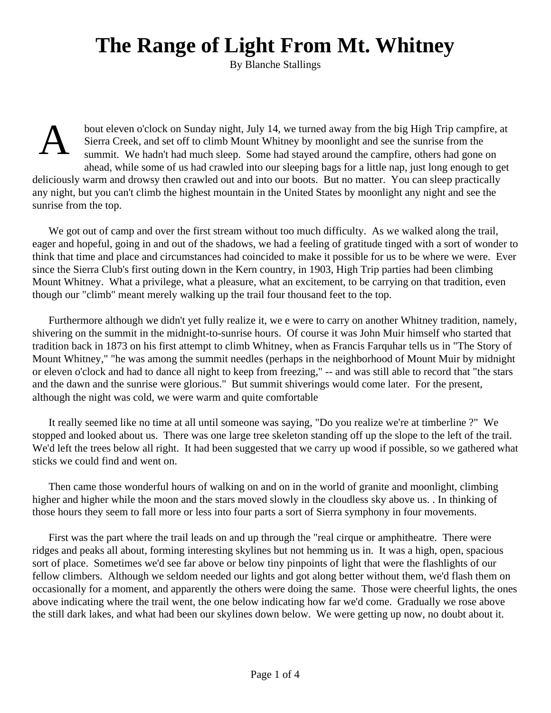## **The Range of Light From Mt. Whitney**

By Blanche Stallings

A

bout eleven o'clock on Sunday night, July 14, we turned away from the big High Trip campfire, at Sierra Creek, and set off to climb Mount Whitney by moonlight and see the sunrise from the summit. We hadn't had much sleep. Some had stayed around the campfire, others had gone on ahead, while some of us had crawled into our sleeping bags for a little nap, just long enough to get deliciously warm and drowsy then crawled out and into our boots. But no matter. You can sleep practically any night, but you can't climb the highest mountain in the United States by moonlight any night and see the sunrise from the top.

We got out of camp and over the first stream without too much difficulty. As we walked along the trail, eager and hopeful, going in and out of the shadows, we had a feeling of gratitude tinged with a sort of wonder to think that time and place and circumstances had coincided to make it possible for us to be where we were. Ever since the Sierra Club's first outing down in the Kern country, in 1903, High Trip parties had been climbing Mount Whitney. What a privilege, what a pleasure, what an excitement, to be carrying on that tradition, even though our "climb" meant merely walking up the trail four thousand feet to the top.

Furthermore although we didn't yet fully realize it, we e were to carry on another Whitney tradition, namely, shivering on the summit in the midnight-to-sunrise hours. Of course it was John Muir himself who started that tradition back in 1873 on his first attempt to climb Whitney, when as Francis Farquhar tells us in "The Story of Mount Whitney," "he was among the summit needles (perhaps in the neighborhood of Mount Muir by midnight or eleven o'clock and had to dance all night to keep from freezing," -- and was still able to record that "the stars and the dawn and the sunrise were glorious." But summit shiverings would come later. For the present, although the night was cold, we were warm and quite comfortable

It really seemed like no time at all until someone was saying, "Do you realize we're at timberline ?" We stopped and looked about us. There was one large tree skeleton standing off up the slope to the left of the trail. We'd left the trees below all right. It had been suggested that we carry up wood if possible, so we gathered what sticks we could find and went on.

Then came those wonderful hours of walking on and on in the world of granite and moonlight, climbing higher and higher while the moon and the stars moved slowly in the cloudless sky above us. . In thinking of those hours they seem to fall more or less into four parts a sort of Sierra symphony in four movements.

First was the part where the trail leads on and up through the "real cirque or amphitheatre. There were ridges and peaks all about, forming interesting skylines but not hemming us in. It was a high, open, spacious sort of place. Sometimes we'd see far above or below tiny pinpoints of light that were the flashlights of our fellow climbers. Although we seldom needed our lights and got along better without them, we'd flash them on occasionally for a moment, and apparently the others were doing the same. Those were cheerful lights, the ones above indicating where the trail went, the one below indicating how far we'd come. Gradually we rose above the still dark lakes, and what had been our skylines down below. We were getting up now, no doubt about it.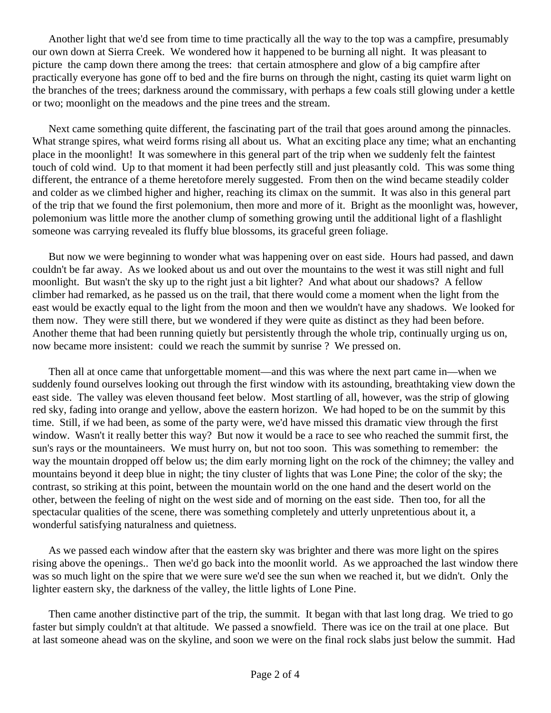Another light that we'd see from time to time practically all the way to the top was a campfire, presumably our own down at Sierra Creek. We wondered how it happened to be burning all night. It was pleasant to picture the camp down there among the trees: that certain atmosphere and glow of a big campfire after practically everyone has gone off to bed and the fire burns on through the night, casting its quiet warm light on the branches of the trees; darkness around the commissary, with perhaps a few coals still glowing under a kettle or two; moonlight on the meadows and the pine trees and the stream.

Next came something quite different, the fascinating part of the trail that goes around among the pinnacles. What strange spires, what weird forms rising all about us. What an exciting place any time; what an enchanting place in the moonlight! It was somewhere in this general part of the trip when we suddenly felt the faintest touch of cold wind. Up to that moment it had been perfectly still and just pleasantly cold. This was some thing different, the entrance of a theme heretofore merely suggested. From then on the wind became steadily colder and colder as we climbed higher and higher, reaching its climax on the summit. It was also in this general part of the trip that we found the first polemonium, then more and more of it. Bright as the moonlight was, however, polemonium was little more the another clump of something growing until the additional light of a flashlight someone was carrying revealed its fluffy blue blossoms, its graceful green foliage.

But now we were beginning to wonder what was happening over on east side. Hours had passed, and dawn couldn't be far away. As we looked about us and out over the mountains to the west it was still night and full moonlight. But wasn't the sky up to the right just a bit lighter? And what about our shadows? A fellow climber had remarked, as he passed us on the trail, that there would come a moment when the light from the east would be exactly equal to the light from the moon and then we wouldn't have any shadows. We looked for them now. They were still there, but we wondered if they were quite as distinct as they had been before. Another theme that had been running quietly but persistently through the whole trip, continually urging us on, now became more insistent: could we reach the summit by sunrise ? We pressed on.

Then all at once came that unforgettable moment—and this was where the next part came in—when we suddenly found ourselves looking out through the first window with its astounding, breathtaking view down the east side. The valley was eleven thousand feet below. Most startling of all, however, was the strip of glowing red sky, fading into orange and yellow, above the eastern horizon. We had hoped to be on the summit by this time. Still, if we had been, as some of the party were, we'd have missed this dramatic view through the first window. Wasn't it really better this way? But now it would be a race to see who reached the summit first, the sun's rays or the mountaineers. We must hurry on, but not too soon. This was something to remember: the way the mountain dropped off below us; the dim early morning light on the rock of the chimney; the valley and mountains beyond it deep blue in night; the tiny cluster of lights that was Lone Pine; the color of the sky; the contrast, so striking at this point, between the mountain world on the one hand and the desert world on the other, between the feeling of night on the west side and of morning on the east side. Then too, for all the spectacular qualities of the scene, there was something completely and utterly unpretentious about it, a wonderful satisfying naturalness and quietness.

As we passed each window after that the eastern sky was brighter and there was more light on the spires rising above the openings.. Then we'd go back into the moonlit world. As we approached the last window there was so much light on the spire that we were sure we'd see the sun when we reached it, but we didn't. Only the lighter eastern sky, the darkness of the valley, the little lights of Lone Pine.

Then came another distinctive part of the trip, the summit. It began with that last long drag. We tried to go faster but simply couldn't at that altitude. We passed a snowfield. There was ice on the trail at one place. But at last someone ahead was on the skyline, and soon we were on the final rock slabs just below the summit. Had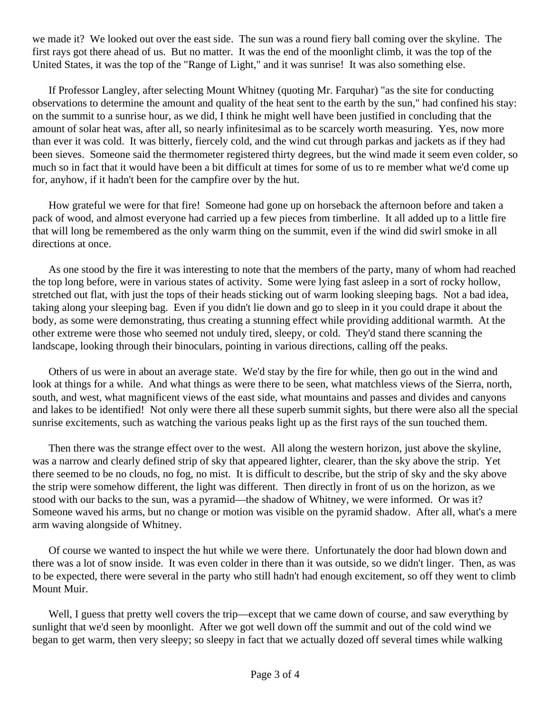we made it? We looked out over the east side. The sun was a round fiery ball coming over the skyline. The first rays got there ahead of us. But no matter. It was the end of the moonlight climb, it was the top of the United States, it was the top of the "Range of Light," and it was sunrise! It was also something else.

If Professor Langley, after selecting Mount Whitney (quoting Mr. Farquhar) "as the site for conducting observations to determine the amount and quality of the heat sent to the earth by the sun," had confined his stay: on the summit to a sunrise hour, as we did, I think he might well have been justified in concluding that the amount of solar heat was, after all, so nearly infinitesimal as to be scarcely worth measuring. Yes, now more than ever it was cold. It was bitterly, fiercely cold, and the wind cut through parkas and jackets as if they had been sieves. Someone said the thermometer registered thirty degrees, but the wind made it seem even colder, so much so in fact that it would have been a bit difficult at times for some of us to re member what we'd come up for, anyhow, if it hadn't been for the campfire over by the hut.

How grateful we were for that fire! Someone had gone up on horseback the afternoon before and taken a pack of wood, and almost everyone had carried up a few pieces from timberline. It all added up to a little fire that will long be remembered as the only warm thing on the summit, even if the wind did swirl smoke in all directions at once.

As one stood by the fire it was interesting to note that the members of the party, many of whom had reached the top long before, were in various states of activity. Some were lying fast asleep in a sort of rocky hollow, stretched out flat, with just the tops of their heads sticking out of warm looking sleeping bags. Not a bad idea, taking along your sleeping bag. Even if you didn't lie down and go to sleep in it you could drape it about the body, as some were demonstrating, thus creating a stunning effect while providing additional warmth. At the other extreme were those who seemed not unduly tired, sleepy, or cold. They'd stand there scanning the landscape, looking through their binoculars, pointing in various directions, calling off the peaks.

Others of us were in about an average state. We'd stay by the fire for while, then go out in the wind and look at things for a while. And what things as were there to be seen, what matchless views of the Sierra, north, south, and west, what magnificent views of the east side, what mountains and passes and divides and canyons and lakes to be identified! Not only were there all these superb summit sights, but there were also all the special sunrise excitements, such as watching the various peaks light up as the first rays of the sun touched them.

Then there was the strange effect over to the west. All along the western horizon, just above the skyline, was a narrow and clearly defined strip of sky that appeared lighter, clearer, than the sky above the strip. Yet there seemed to be no clouds, no fog, no mist. It is difficult to describe, but the strip of sky and the sky above the strip were somehow different, the light was different. Then directly in front of us on the horizon, as we stood with our backs to the sun, was a pyramid—the shadow of Whitney, we were informed. Or was it? Someone waved his arms, but no change or motion was visible on the pyramid shadow. After all, what's a mere arm waving alongside of Whitney.

Of course we wanted to inspect the hut while we were there. Unfortunately the door had blown down and there was a lot of snow inside. It was even colder in there than it was outside, so we didn't linger. Then, as was to be expected, there were several in the party who still hadn't had enough excitement, so off they went to climb Mount Muir.

Well, I guess that pretty well covers the trip—except that we came down of course, and saw everything by sunlight that we'd seen by moonlight. After we got well down off the summit and out of the cold wind we began to get warm, then very sleepy; so sleepy in fact that we actually dozed off several times while walking